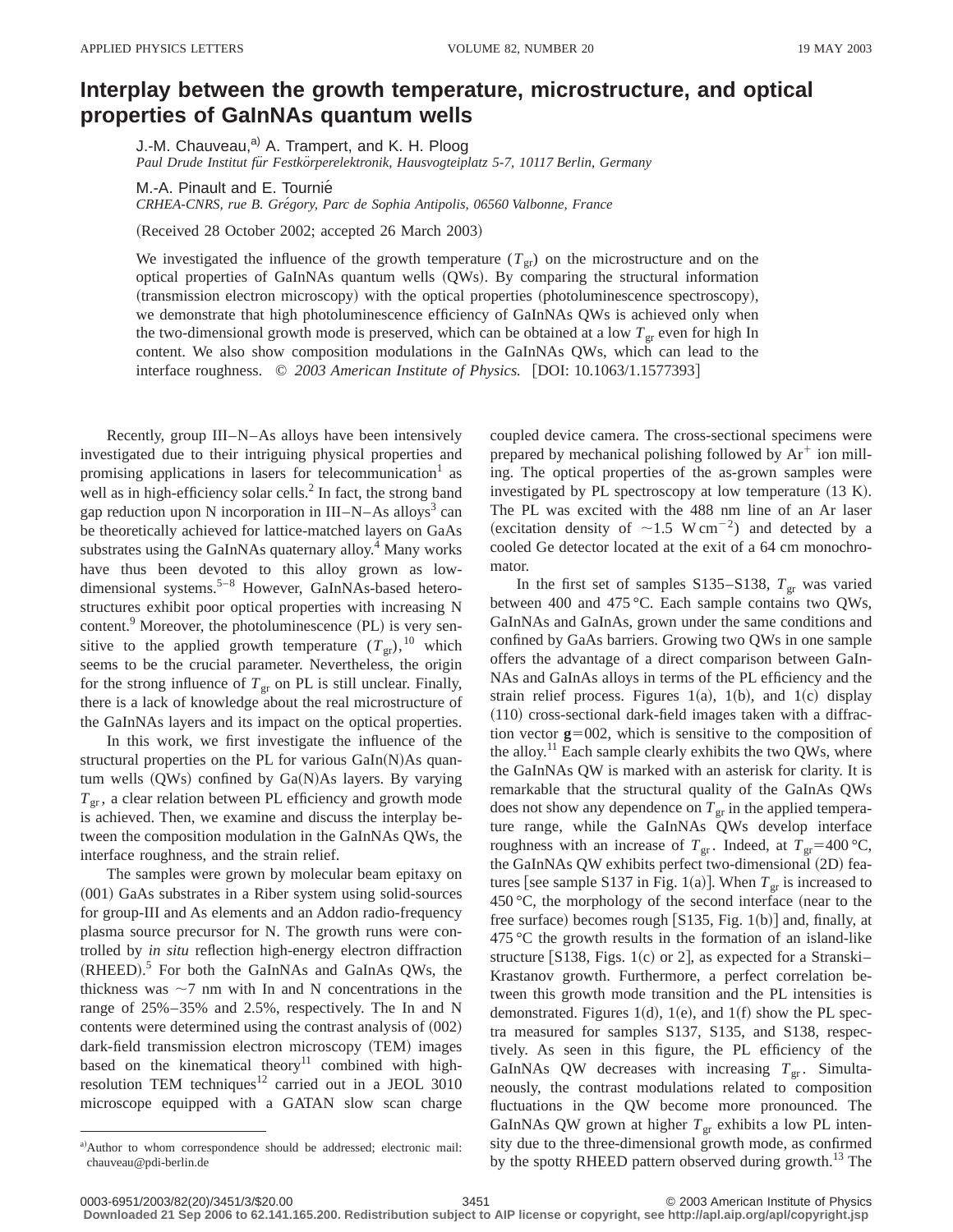## **Interplay between the growth temperature, microstructure, and optical properties of GaInNAs quantum wells**

J.-M. Chauveau,<sup>a)</sup> A. Trampert, and K. H. Ploog *Paul Drude Institut fu¨r Festko¨rperelektronik, Hausvogteiplatz 5-7, 10117 Berlin, Germany*

M.-A. Pinault and E. Tournié

*CRHEA-CNRS, rue B. Gre´gory, Parc de Sophia Antipolis, 06560 Valbonne, France*

(Received 28 October 2002; accepted 26 March 2003)

We investigated the influence of the growth temperature  $(T_{gr})$  on the microstructure and on the optical properties of GaInNAs quantum wells (QWs). By comparing the structural information  $(rtransmission electron microscopy)$  with the optical properties (photoluminescence spectroscopy), we demonstrate that high photoluminescence efficiency of GaInNAs QWs is achieved only when the two-dimensional growth mode is preserved, which can be obtained at a low  $T_{gr}$  even for high In content. We also show composition modulations in the GaInNAs QWs, which can lead to the interface roughness.  $\oslash$  2003 American Institute of Physics. [DOI: 10.1063/1.1577393]

Recently, group III–N–As alloys have been intensively investigated due to their intriguing physical properties and promising applications in lasers for telecommunication<sup>1</sup> as well as in high-efficiency solar cells.<sup>2</sup> In fact, the strong band gap reduction upon N incorporation in  $III-N-As$  alloys<sup>3</sup> can be theoretically achieved for lattice-matched layers on GaAs substrates using the GaInNAs quaternary alloy.<sup>4</sup> Many works have thus been devoted to this alloy grown as lowdimensional systems.<sup>5–8</sup> However, GaInNAs-based heterostructures exhibit poor optical properties with increasing N content. $9$  Moreover, the photoluminescence (PL) is very sensitive to the applied growth temperature  $(T_{gr})$ ,<sup>10</sup> which seems to be the crucial parameter. Nevertheless, the origin for the strong influence of  $T_{\rm gr}$  on PL is still unclear. Finally, there is a lack of knowledge about the real microstructure of the GaInNAs layers and its impact on the optical properties.

In this work, we first investigate the influence of the structural properties on the PL for various  $Galn(N)As$  quantum wells  $(QWs)$  confined by  $Ga(N)As$  layers. By varying  $T_{\text{gr}}$ , a clear relation between PL efficiency and growth mode is achieved. Then, we examine and discuss the interplay between the composition modulation in the GaInNAs QWs, the interface roughness, and the strain relief.

The samples were grown by molecular beam epitaxy on  $(001)$  GaAs substrates in a Riber system using solid-sources for group-III and As elements and an Addon radio-frequency plasma source precursor for N. The growth runs were controlled by *in situ* reflection high-energy electron diffraction  $(RHEED).$ <sup>5</sup> For both the GaInNAs and GaInAs QWs, the thickness was  $\sim$ 7 nm with In and N concentrations in the range of 25%–35% and 2.5%, respectively. The In and N contents were determined using the contrast analysis of  $(002)$ dark-field transmission electron microscopy (TEM) images based on the kinematical theory<sup>11</sup> combined with highresolution TEM techniques<sup>12</sup> carried out in a JEOL 3010 microscope equipped with a GATAN slow scan charge

a)Author to whom correspondence should be addressed; electronic mail: chauveau@pdi-berlin.de

coupled device camera. The cross-sectional specimens were prepared by mechanical polishing followed by  $Ar^+$  ion milling. The optical properties of the as-grown samples were investigated by PL spectroscopy at low temperature  $(13 K)$ . The PL was excited with the 488 nm line of an Ar laser (excitation density of  $\sim$ 1.5 W cm<sup>-2</sup>) and detected by a cooled Ge detector located at the exit of a 64 cm monochromator.

In the first set of samples S135–S138,  $T_{gr}$  was varied between 400 and 475 °C. Each sample contains two QWs, GaInNAs and GaInAs, grown under the same conditions and confined by GaAs barriers. Growing two QWs in one sample offers the advantage of a direct comparison between GaIn-NAs and GaInAs alloys in terms of the PL efficiency and the strain relief process. Figures 1(a), 1(b), and 1(c) display  $(110)$  cross-sectional dark-field images taken with a diffraction vector  $g=002$ , which is sensitive to the composition of the alloy.<sup>11</sup> Each sample clearly exhibits the two QWs, where the GaInNAs QW is marked with an asterisk for clarity. It is remarkable that the structural quality of the GaInAs QWs does not show any dependence on  $T_{gr}$  in the applied temperature range, while the GaInNAs QWs develop interface roughness with an increase of  $T_{\text{gr}}$ . Indeed, at  $T_{\text{gr}}=400 \degree \text{C}$ , the GaInNAs QW exhibits perfect two-dimensional (2D) features [see sample S137 in Fig. 1(a)]. When  $T_{gr}$  is increased to 450  $\degree$ C, the morphology of the second interface (near to the free surface) becomes rough  $[S135, Fig. 1(b)]$  and, finally, at  $475^{\circ}$ C the growth results in the formation of an island-like structure [S138, Figs. 1(c) or 2], as expected for a Stranski– Krastanov growth. Furthermore, a perfect correlation between this growth mode transition and the PL intensities is demonstrated. Figures 1 $(d)$ , 1 $(e)$ , and 1 $(f)$  show the PL spectra measured for samples S137, S135, and S138, respectively. As seen in this figure, the PL efficiency of the GaInNAs QW decreases with increasing  $T_{\text{gr}}$ . Simultaneously, the contrast modulations related to composition fluctuations in the QW become more pronounced. The GaInNAs QW grown at higher  $T_{gr}$  exhibits a low PL intensity due to the three-dimensional growth mode, as confirmed by the spotty RHEED pattern observed during growth.<sup>13</sup> The

**Downloaded 21 Sep 2006 to 62.141.165.200. Redistribution subject to AIP license or copyright, see http://apl.aip.org/apl/copyright.jsp**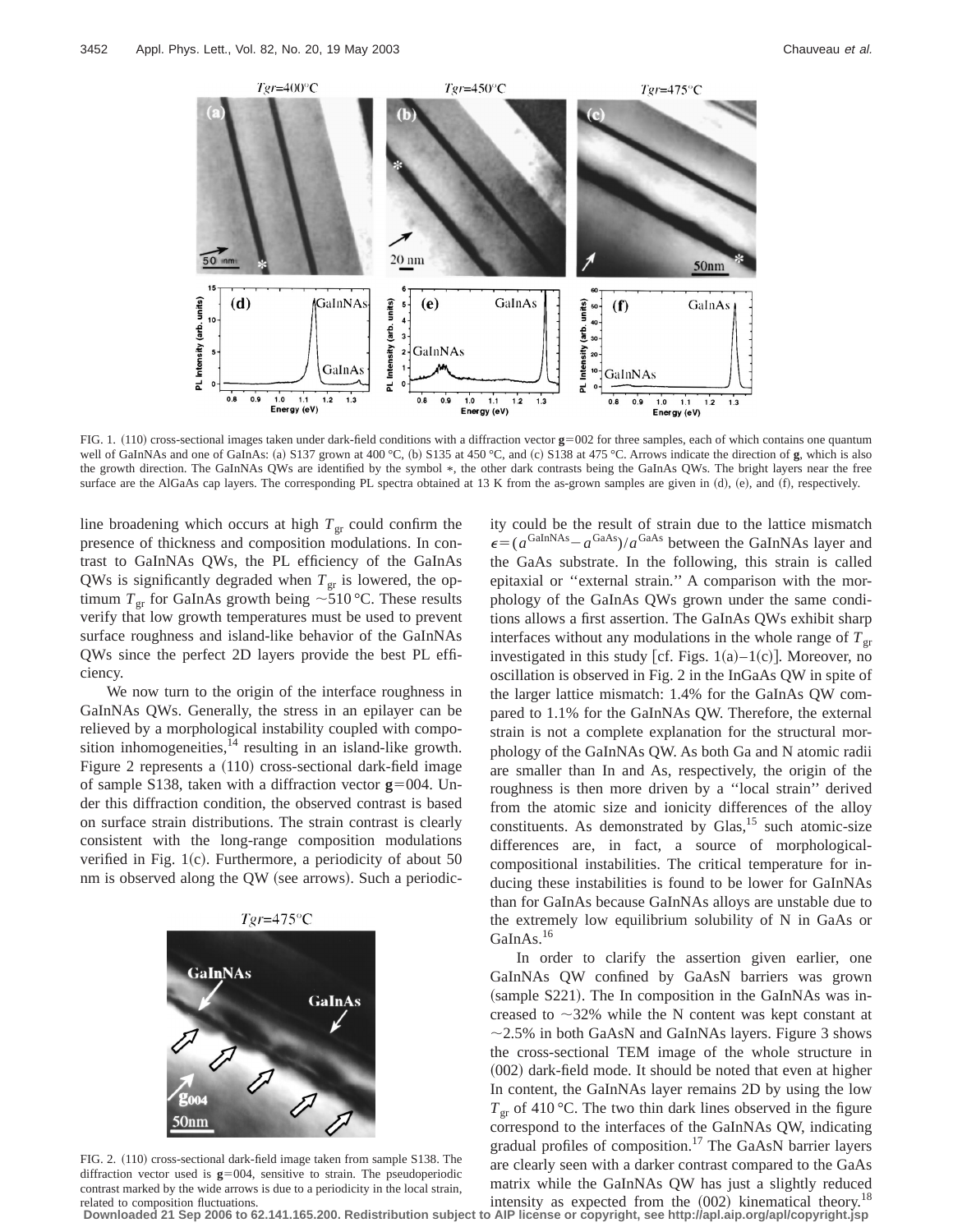

FIG. 1. (110) cross-sectional images taken under dark-field conditions with a diffraction vector  $g=002$  for three samples, each of which contains one quantum well of GaInNAs and one of GaInAs: (a) S137 grown at 400 °C, (b) S135 at 450 °C, and (c) S138 at 475 °C. Arrows indicate the direction of **g**, which is also the growth direction. The GaInNAs QWs are identified by the symbol \*, the other dark contrasts being the GaInAs QWs. The bright layers near the free surface are the AlGaAs cap layers. The corresponding PL spectra obtained at 13 K from the as-grown samples are given in  $(d)$ ,  $(e)$ , and  $(f)$ , respectively.

line broadening which occurs at high  $T_{gr}$  could confirm the presence of thickness and composition modulations. In contrast to GaInNAs QWs, the PL efficiency of the GaInAs QWs is significantly degraded when  $T_{\text{gr}}$  is lowered, the optimum  $T_{\text{gr}}$  for GaInAs growth being  $\sim 510 \degree C$ . These results verify that low growth temperatures must be used to prevent surface roughness and island-like behavior of the GaInNAs QWs since the perfect 2D layers provide the best PL efficiency.

We now turn to the origin of the interface roughness in GaInNAs QWs. Generally, the stress in an epilayer can be relieved by a morphological instability coupled with composition inhomogeneities, $14$  resulting in an island-like growth. Figure 2 represents a (110) cross-sectional dark-field image of sample S138, taken with a diffraction vector  $g=004$ . Under this diffraction condition, the observed contrast is based on surface strain distributions. The strain contrast is clearly consistent with the long-range composition modulations verified in Fig.  $1(c)$ . Furthermore, a periodicity of about 50 nm is observed along the QW (see arrows). Such a periodic-



FIG. 2.  $(110)$  cross-sectional dark-field image taken from sample S138. The diffraction vector used is  $g=004$ , sensitive to strain. The pseudoperiodic contrast marked by the wide arrows is due to a periodicity in the local strain, related to composition fluctuations.

ity could be the result of strain due to the lattice mismatch  $\epsilon = (a^{\text{GalnNAs}} - a^{\text{GaAs}})/a^{\text{GaAs}}$  between the GaInNAs layer and the GaAs substrate. In the following, this strain is called epitaxial or ''external strain.'' A comparison with the morphology of the GaInAs QWs grown under the same conditions allows a first assertion. The GaInAs QWs exhibit sharp interfaces without any modulations in the whole range of  $T_{gr}$ investigated in this study [cf. Figs.  $1(a)-1(c)$ ]. Moreover, no oscillation is observed in Fig. 2 in the InGaAs QW in spite of the larger lattice mismatch: 1.4% for the GaInAs QW compared to 1.1% for the GaInNAs QW. Therefore, the external strain is not a complete explanation for the structural morphology of the GaInNAs QW. As both Ga and N atomic radii are smaller than In and As, respectively, the origin of the roughness is then more driven by a ''local strain'' derived from the atomic size and ionicity differences of the alloy constituents. As demonstrated by Glas, $15$  such atomic-size differences are, in fact, a source of morphologicalcompositional instabilities. The critical temperature for inducing these instabilities is found to be lower for GaInNAs than for GaInAs because GaInNAs alloys are unstable due to the extremely low equilibrium solubility of N in GaAs or GaInAs.<sup>16</sup>

In order to clarify the assertion given earlier, one GaInNAs QW confined by GaAsN barriers was grown  $(sample S221)$ . The In composition in the GaInNAs was increased to  $\sim$ 32% while the N content was kept constant at  $\sim$  2.5% in both GaAsN and GaInNAs layers. Figure 3 shows the cross-sectional TEM image of the whole structure in  $(002)$  dark-field mode. It should be noted that even at higher In content, the GaInNAs layer remains 2D by using the low  $T_{\rm gr}$  of 410 °C. The two thin dark lines observed in the figure correspond to the interfaces of the GaInNAs QW, indicating gradual profiles of composition.17 The GaAsN barrier layers are clearly seen with a darker contrast compared to the GaAs matrix while the GaInNAs QW has just a slightly reduced intensity as expected from the  $(002)$  kinematical theory.<sup>18</sup>

**Downloaded 21 Sep 2006 to 62.141.165.200. Redistribution subject to AIP license or copyright, see http://apl.aip.org/apl/copyright.jsp**